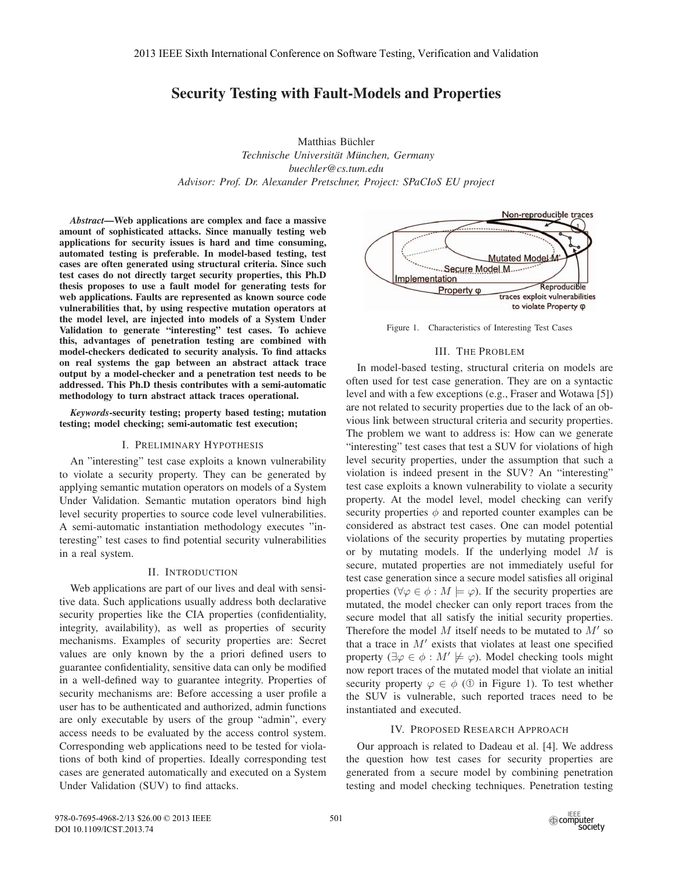# Security Testing with Fault-Models and Properties

Matthias Büchler  $Technische University München, Germany$ *buechler@cs.tum.edu Advisor: Prof. Dr. Alexander Pretschner, Project: SPaCIoS EU project*

*Abstract*—Web applications are complex and face a massive amount of sophisticated attacks. Since manually testing web applications for security issues is hard and time consuming, automated testing is preferable. In model-based testing, test cases are often generated using structural criteria. Since such test cases do not directly target security properties, this Ph.D thesis proposes to use a fault model for generating tests for web applications. Faults are represented as known source code vulnerabilities that, by using respective mutation operators at the model level, are injected into models of a System Under Validation to generate "interesting" test cases. To achieve this, advantages of penetration testing are combined with model-checkers dedicated to security analysis. To find attacks on real systems the gap between an abstract attack trace output by a model-checker and a penetration test needs to be addressed. This Ph.D thesis contributes with a semi-automatic methodology to turn abstract attack traces operational.

*Keywords*-security testing; property based testing; mutation testing; model checking; semi-automatic test execution;

# I. PRELIMINARY HYPOTHESIS

An "interesting" test case exploits a known vulnerability to violate a security property. They can be generated by applying semantic mutation operators on models of a System Under Validation. Semantic mutation operators bind high level security properties to source code level vulnerabilities. A semi-automatic instantiation methodology executes "interesting" test cases to find potential security vulnerabilities in a real system.

# II. INTRODUCTION

Web applications are part of our lives and deal with sensitive data. Such applications usually address both declarative security properties like the CIA properties (confidentiality, integrity, availability), as well as properties of security mechanisms. Examples of security properties are: Secret values are only known by the a priori defined users to guarantee confidentiality, sensitive data can only be modified in a well-defined way to guarantee integrity. Properties of security mechanisms are: Before accessing a user profile a user has to be authenticated and authorized, admin functions are only executable by users of the group "admin", every access needs to be evaluated by the access control system. Corresponding web applications need to be tested for violations of both kind of properties. Ideally corresponding test cases are generated automatically and executed on a System Under Validation (SUV) to find attacks.



Figure 1. Characteristics of Interesting Test Cases

# III. THE PROBLEM

In model-based testing, structural criteria on models are often used for test case generation. They are on a syntactic level and with a few exceptions (e.g., Fraser and Wotawa [5]) are not related to security properties due to the lack of an obvious link between structural criteria and security properties. The problem we want to address is: How can we generate "interesting" test cases that test a SUV for violations of high level security properties, under the assumption that such a violation is indeed present in the SUV? An "interesting" test case exploits a known vulnerability to violate a security property. At the model level, model checking can verify security properties  $\phi$  and reported counter examples can be considered as abstract test cases. One can model potential violations of the security properties by mutating properties or by mutating models. If the underlying model  $M$  is secure, mutated properties are not immediately useful for test case generation since a secure model satisfies all original properties ( $\forall \varphi \in \phi : M \models \varphi$ ). If the security properties are mutated, the model checker can only report traces from the secure model that all satisfy the initial security properties. Therefore the model  $M$  itself needs to be mutated to  $M'$  so that a trace in  $M'$  exists that violates at least one specified property ( $\exists \varphi \in \phi : M' \not\models \varphi$ ). Model checking tools might now report traces of the mutated model that violate an initial security property  $\varphi \in \phi$  (① in Figure 1). To test whether the SUV is vulnerable, such reported traces need to be instantiated and executed.

# IV. PROPOSED RESEARCH APPROACH

Our approach is related to Dadeau et al. [4]. We address the question how test cases for security properties are generated from a secure model by combining penetration testing and model checking techniques. Penetration testing

978-0-7695-4968-2/13 \$26.00 © 2013 IEEE DOI 10.1109/ICST.2013.74